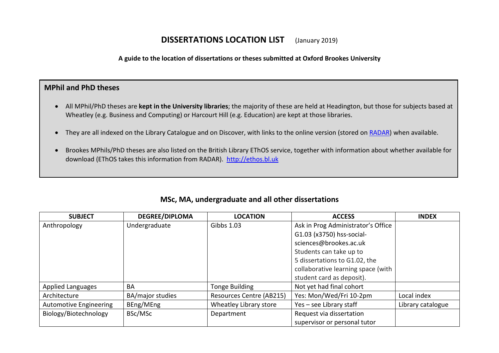## **DISSERTATIONS LOCATION LIST** (January 2019)

**A guide to the location of dissertations or theses submitted at Oxford Brookes University**

## **MPhil and PhD theses**

- All MPhil/PhD theses are **kept in the University libraries**; the majority of these are held at Headington, but those for subjects based at Wheatley (e.g. Business and Computing) or Harcourt Hill (e.g. Education) are kept at those libraries.
- They are all indexed on the Library Catalogue and on Discover, with links to the online version (stored on [RADAR\)](https://radar.brookes.ac.uk/radar/home.do) when available.
- Brookes MPhils/PhD theses are also listed on the British Library EThOS service, together with information about whether available for download (EThOS takes this information from RADAR). [http://ethos.bl.uk](http://ethos.bl.uk/)

| <b>SUBJECT</b>                | <b>DEGREE/DIPLOMA</b> | <b>LOCATION</b>          | <b>ACCESS</b>                      | <b>INDEX</b>      |
|-------------------------------|-----------------------|--------------------------|------------------------------------|-------------------|
| Anthropology                  | Undergraduate         | Gibbs 1.03               | Ask in Prog Administrator's Office |                   |
|                               |                       |                          | G1.03 (x3750) hss-social-          |                   |
|                               |                       |                          | sciences@brookes.ac.uk             |                   |
|                               |                       |                          | Students can take up to            |                   |
|                               |                       |                          | 5 dissertations to G1.02, the      |                   |
|                               |                       |                          | collaborative learning space (with |                   |
|                               |                       |                          | student card as deposit).          |                   |
| <b>Applied Languages</b>      | BA                    | Tonge Building           | Not yet had final cohort           |                   |
| Architecture                  | BA/major studies      | Resources Centre (AB215) | Yes: Mon/Wed/Fri 10-2pm            | Local index       |
| <b>Automotive Engineering</b> | BEng/MEng             | Wheatley Library store   | Yes - see Library staff            | Library catalogue |
| Biology/Biotechnology         | BSc/MSc               | Department               | Request via dissertation           |                   |
|                               |                       |                          | supervisor or personal tutor       |                   |

## **MSc, MA, undergraduate and all other dissertations**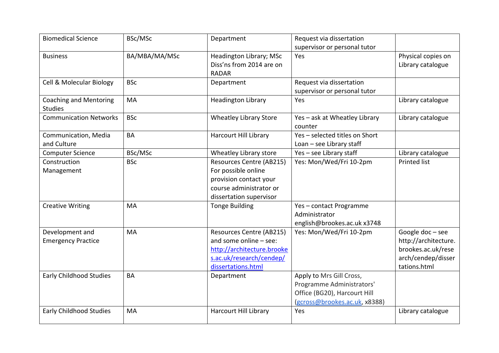| <b>Biomedical Science</b>      | BSc/MSc       | Department                    | Request via dissertation       |                      |
|--------------------------------|---------------|-------------------------------|--------------------------------|----------------------|
|                                |               |                               | supervisor or personal tutor   |                      |
| <b>Business</b>                | BA/MBA/MA/MSc | Headington Library; MSc       | Yes                            | Physical copies on   |
|                                |               | Diss'ns from 2014 are on      |                                | Library catalogue    |
|                                |               | <b>RADAR</b>                  |                                |                      |
| Cell & Molecular Biology       | <b>BSc</b>    | Department                    | Request via dissertation       |                      |
|                                |               |                               | supervisor or personal tutor   |                      |
| <b>Coaching and Mentoring</b>  | MA            | <b>Headington Library</b>     | Yes                            | Library catalogue    |
| <b>Studies</b>                 |               |                               |                                |                      |
| <b>Communication Networks</b>  | <b>BSc</b>    | <b>Wheatley Library Store</b> | Yes - ask at Wheatley Library  | Library catalogue    |
|                                |               |                               | counter                        |                      |
| Communication, Media           | BA            | <b>Harcourt Hill Library</b>  | Yes - selected titles on Short |                      |
| and Culture                    |               |                               | Loan - see Library staff       |                      |
| <b>Computer Science</b>        | BSc/MSc       | Wheatley Library store        | Yes - see Library staff        | Library catalogue    |
| Construction                   | <b>BSc</b>    | Resources Centre (AB215)      | Yes: Mon/Wed/Fri 10-2pm        | <b>Printed list</b>  |
| Management                     |               | For possible online           |                                |                      |
|                                |               | provision contact your        |                                |                      |
|                                |               | course administrator or       |                                |                      |
|                                |               | dissertation supervisor       |                                |                      |
| <b>Creative Writing</b>        | <b>MA</b>     | <b>Tonge Building</b>         | Yes-contact Programme          |                      |
|                                |               |                               | Administrator                  |                      |
|                                |               |                               | english@brookes.ac.uk x3748    |                      |
| Development and                | MA            | Resources Centre (AB215)      | Yes: Mon/Wed/Fri 10-2pm        | Google $doc - see$   |
| <b>Emergency Practice</b>      |               | and some online - see:        |                                | http://architecture. |
|                                |               | http://architecture.brooke    |                                | brookes.ac.uk/rese   |
|                                |               | s.ac.uk/research/cendep/      |                                | arch/cendep/disser   |
|                                |               | dissertations.html            |                                | tations.html         |
| <b>Early Childhood Studies</b> | <b>BA</b>     | Department                    | Apply to Mrs Gill Cross,       |                      |
|                                |               |                               | Programme Administrators'      |                      |
|                                |               |                               | Office (BG20), Harcourt Hill   |                      |
|                                |               |                               | (gcross@brookes.ac.uk, x8388)  |                      |
| <b>Early Childhood Studies</b> | MA            | Harcourt Hill Library         | Yes                            | Library catalogue    |
|                                |               |                               |                                |                      |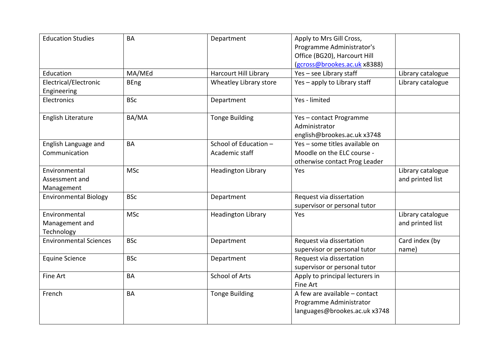| <b>Education Studies</b>                      | <b>BA</b>   | Department                              | Apply to Mrs Gill Cross,<br>Programme Administrator's<br>Office (BG20), Harcourt Hill<br>(gcross@brookes.ac.uk x8388) |                                       |
|-----------------------------------------------|-------------|-----------------------------------------|-----------------------------------------------------------------------------------------------------------------------|---------------------------------------|
| Education                                     | MA/MEd      | <b>Harcourt Hill Library</b>            | Yes - see Library staff                                                                                               | Library catalogue                     |
| Electrical/Electronic<br>Engineering          | <b>BEng</b> | Wheatley Library store                  | Yes - apply to Library staff                                                                                          | Library catalogue                     |
| Electronics                                   | <b>BSc</b>  | Department                              | Yes - limited                                                                                                         |                                       |
| English Literature                            | BA/MA       | <b>Tonge Building</b>                   | Yes-contact Programme<br>Administrator<br>english@brookes.ac.uk x3748                                                 |                                       |
| English Language and<br>Communication         | BA          | School of Education -<br>Academic staff | Yes - some titles available on<br>Moodle on the ELC course -<br>otherwise contact Prog Leader                         |                                       |
| Environmental<br>Assessment and<br>Management | <b>MSc</b>  | <b>Headington Library</b>               | Yes                                                                                                                   | Library catalogue<br>and printed list |
| <b>Environmental Biology</b>                  | <b>BSc</b>  | Department                              | Request via dissertation<br>supervisor or personal tutor                                                              |                                       |
| Environmental<br>Management and<br>Technology | <b>MSc</b>  | <b>Headington Library</b>               | Yes                                                                                                                   | Library catalogue<br>and printed list |
| <b>Environmental Sciences</b>                 | <b>BSc</b>  | Department                              | Request via dissertation<br>supervisor or personal tutor                                                              | Card index (by<br>name)               |
| <b>Equine Science</b>                         | <b>BSc</b>  | Department                              | Request via dissertation<br>supervisor or personal tutor                                                              |                                       |
| Fine Art                                      | BA          | <b>School of Arts</b>                   | Apply to principal lecturers in<br>Fine Art                                                                           |                                       |
| French                                        | <b>BA</b>   | <b>Tonge Building</b>                   | A few are available - contact<br>Programme Administrator<br>languages@brookes.ac.uk x3748                             |                                       |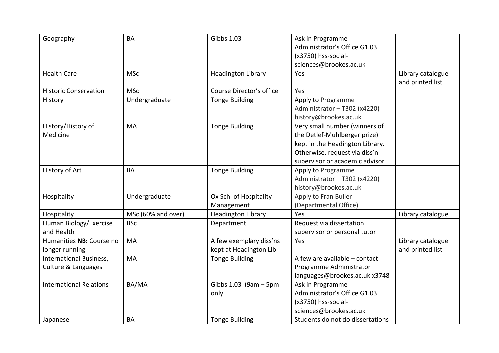| Geography                      | BA                 | <b>Gibbs 1.03</b>         | Ask in Programme                 |                   |
|--------------------------------|--------------------|---------------------------|----------------------------------|-------------------|
|                                |                    |                           | Administrator's Office G1.03     |                   |
|                                |                    |                           | (x3750) hss-social-              |                   |
|                                |                    |                           | sciences@brookes.ac.uk           |                   |
| <b>Health Care</b>             | <b>MSc</b>         | <b>Headington Library</b> | Yes                              | Library catalogue |
|                                |                    |                           |                                  | and printed list  |
| <b>Historic Conservation</b>   | <b>MSc</b>         | Course Director's office  | Yes                              |                   |
| History                        | Undergraduate      | <b>Tonge Building</b>     | Apply to Programme               |                   |
|                                |                    |                           | Administrator - T302 (x4220)     |                   |
|                                |                    |                           | history@brookes.ac.uk            |                   |
| History/History of             | MA                 | <b>Tonge Building</b>     | Very small number (winners of    |                   |
| Medicine                       |                    |                           | the Detlef-Muhlberger prize)     |                   |
|                                |                    |                           | kept in the Headington Library.  |                   |
|                                |                    |                           | Otherwise, request via diss'n    |                   |
|                                |                    |                           | supervisor or academic advisor   |                   |
| History of Art                 | <b>BA</b>          | <b>Tonge Building</b>     | Apply to Programme               |                   |
|                                |                    |                           | Administrator - T302 (x4220)     |                   |
|                                |                    |                           | history@brookes.ac.uk            |                   |
| Hospitality                    | Undergraduate      | Ox Schl of Hospitality    | Apply to Fran Buller             |                   |
|                                |                    | Management                | (Departmental Office)            |                   |
| Hospitality                    | MSc (60% and over) | <b>Headington Library</b> | Yes                              | Library catalogue |
| Human Biology/Exercise         | <b>BSc</b>         | Department                | Request via dissertation         |                   |
| and Health                     |                    |                           | supervisor or personal tutor     |                   |
| Humanities NB: Course no       | <b>MA</b>          | A few exemplary diss'ns   | Yes                              | Library catalogue |
| longer running                 |                    | kept at Headington Lib    |                                  | and printed list  |
| International Business,        | MA                 | <b>Tonge Building</b>     | A few are available - contact    |                   |
| Culture & Languages            |                    |                           | Programme Administrator          |                   |
|                                |                    |                           | languages@brookes.ac.uk x3748    |                   |
| <b>International Relations</b> | BA/MA              | Gibbs $1.03$ (9am $-5$ pm | Ask in Programme                 |                   |
|                                |                    | only                      | Administrator's Office G1.03     |                   |
|                                |                    |                           | (x3750) hss-social-              |                   |
|                                |                    |                           | sciences@brookes.ac.uk           |                   |
| Japanese                       | <b>BA</b>          | <b>Tonge Building</b>     | Students do not do dissertations |                   |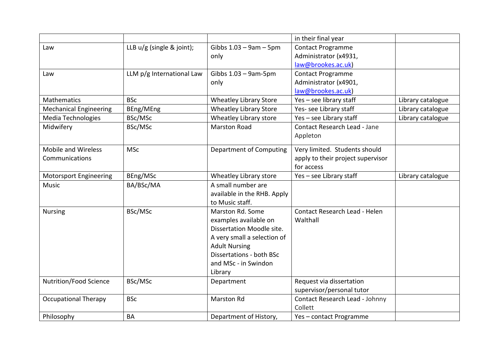|                               |                             |                               | in their final year               |                   |
|-------------------------------|-----------------------------|-------------------------------|-----------------------------------|-------------------|
| Law                           | LLB $u/g$ (single & joint); | Gibbs $1.03 - 9$ am $-5$ pm   | <b>Contact Programme</b>          |                   |
|                               |                             | only                          | Administrator (x4931,             |                   |
|                               |                             |                               | law@brookes.ac.uk)                |                   |
| Law                           | LLM p/g International Law   | Gibbs $1.03 - 9$ am-5pm       | <b>Contact Programme</b>          |                   |
|                               |                             | only                          | Administrator (x4901,             |                   |
|                               |                             |                               | law@brookes.ac.uk)                |                   |
| Mathematics                   | <b>BSc</b>                  | <b>Wheatley Library Store</b> | Yes - see library staff           | Library catalogue |
| <b>Mechanical Engineering</b> | BEng/MEng                   | <b>Wheatley Library Store</b> | Yes- see Library staff            | Library catalogue |
| <b>Media Technologies</b>     | BSc/MSc                     | Wheatley Library store        | Yes - see Library staff           | Library catalogue |
| Midwifery                     | BSc/MSc                     | <b>Marston Road</b>           | Contact Research Lead - Jane      |                   |
|                               |                             |                               | Appleton                          |                   |
| Mobile and Wireless           | <b>MSc</b>                  | Department of Computing       | Very limited. Students should     |                   |
| Communications                |                             |                               | apply to their project supervisor |                   |
|                               |                             |                               | for access                        |                   |
| <b>Motorsport Engineering</b> | BEng/MSc                    | Wheatley Library store        | Yes - see Library staff           | Library catalogue |
| <b>Music</b>                  | BA/BSc/MA                   | A small number are            |                                   |                   |
|                               |                             | available in the RHB. Apply   |                                   |                   |
|                               |                             | to Music staff.               |                                   |                   |
| <b>Nursing</b>                | BSc/MSc                     | Marston Rd. Some              | Contact Research Lead - Helen     |                   |
|                               |                             | examples available on         | Walthall                          |                   |
|                               |                             | Dissertation Moodle site.     |                                   |                   |
|                               |                             | A very small a selection of   |                                   |                   |
|                               |                             | <b>Adult Nursing</b>          |                                   |                   |
|                               |                             | Dissertations - both BSc      |                                   |                   |
|                               |                             | and MSc - in Swindon          |                                   |                   |
|                               |                             | Library                       |                                   |                   |
| Nutrition/Food Science        | BSc/MSc                     | Department                    | Request via dissertation          |                   |
|                               |                             |                               | supervisor/personal tutor         |                   |
| <b>Occupational Therapy</b>   | <b>BSc</b>                  | <b>Marston Rd</b>             | Contact Research Lead - Johnny    |                   |
|                               |                             |                               | Collett                           |                   |
| Philosophy                    | <b>BA</b>                   | Department of History,        | Yes - contact Programme           |                   |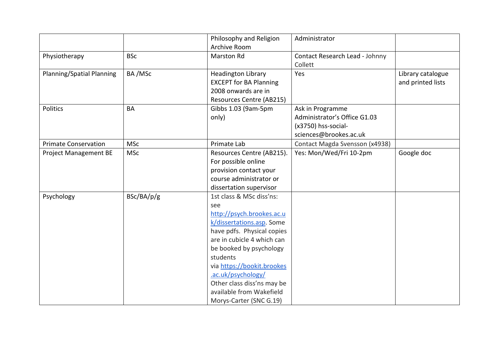|                             |            | Philosophy and Religion       | Administrator                  |                   |
|-----------------------------|------------|-------------------------------|--------------------------------|-------------------|
|                             |            | Archive Room                  |                                |                   |
| Physiotherapy               | <b>BSc</b> | <b>Marston Rd</b>             | Contact Research Lead - Johnny |                   |
|                             |            |                               | Collett                        |                   |
| Planning/Spatial Planning   | BA/MSc     | <b>Headington Library</b>     | Yes                            | Library catalogue |
|                             |            | <b>EXCEPT for BA Planning</b> |                                | and printed lists |
|                             |            | 2008 onwards are in           |                                |                   |
|                             |            | Resources Centre (AB215)      |                                |                   |
| <b>Politics</b>             | BA         | Gibbs 1.03 (9am-5pm           | Ask in Programme               |                   |
|                             |            | only)                         | Administrator's Office G1.03   |                   |
|                             |            |                               | (x3750) hss-social-            |                   |
|                             |            |                               | sciences@brookes.ac.uk         |                   |
| <b>Primate Conservation</b> | <b>MSc</b> | Primate Lab                   | Contact Magda Svensson (x4938) |                   |
| Project Management BE       | <b>MSc</b> | Resources Centre (AB215).     | Yes: Mon/Wed/Fri 10-2pm        | Google doc        |
|                             |            | For possible online           |                                |                   |
|                             |            | provision contact your        |                                |                   |
|                             |            | course administrator or       |                                |                   |
|                             |            | dissertation supervisor       |                                |                   |
| Psychology                  | BSc/BA/p/g | 1st class & MSc diss'ns:      |                                |                   |
|                             |            | see                           |                                |                   |
|                             |            | http://psych.brookes.ac.u     |                                |                   |
|                             |            | k/dissertations.asp. Some     |                                |                   |
|                             |            | have pdfs. Physical copies    |                                |                   |
|                             |            | are in cubicle 4 which can    |                                |                   |
|                             |            | be booked by psychology       |                                |                   |
|                             |            | students                      |                                |                   |
|                             |            | via https://bookit.brookes    |                                |                   |
|                             |            | .ac.uk/psychology/            |                                |                   |
|                             |            | Other class diss'ns may be    |                                |                   |
|                             |            | available from Wakefield      |                                |                   |
|                             |            | Morys-Carter (SNC G.19)       |                                |                   |